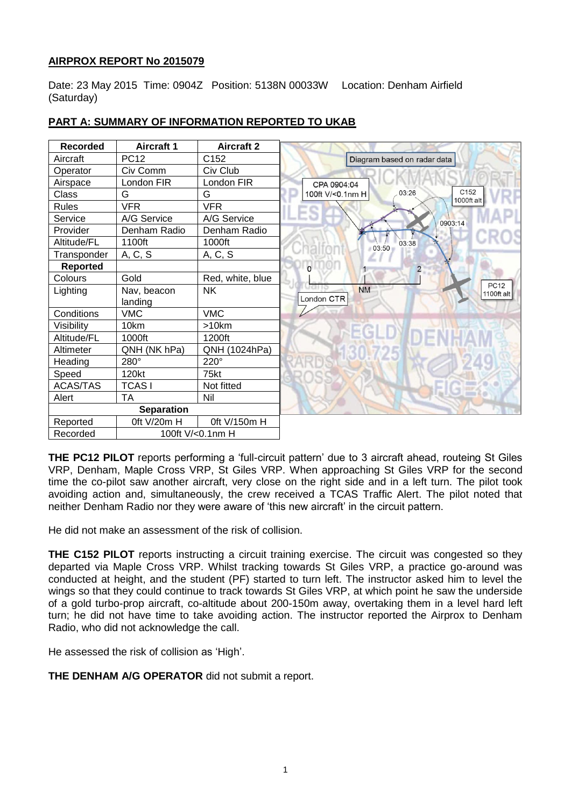# **AIRPROX REPORT No 2015079**

Date: 23 May 2015 Time: 0904Z Position: 5138N 00033W Location: Denham Airfield (Saturday)

| <b>Recorded</b> | <b>Aircraft 1</b>      | <b>Aircraft 2</b> |                             |
|-----------------|------------------------|-------------------|-----------------------------|
| Aircraft        | <b>PC12</b>            | C <sub>152</sub>  | Diagram based on radar data |
| Operator        | Civ Comm               | Civ Club          |                             |
| Airspace        | London FIR             | London FIR        | CPA 0904:04                 |
| Class           | G                      | G                 | 100ft V/<0.1nm H            |
| Rules           | <b>VFR</b>             | <b>VFR</b>        |                             |
| Service         | A/G Service            | A/G Service       |                             |
| Provider        | Denham Radio           | Denham Radio      |                             |
| Altitude/FL     | 1100ft                 | 1000ft            | 03:50                       |
| Transponder     | A, C, S                | A, C, S           |                             |
| <b>Reported</b> |                        |                   | $\mathbf{0}$                |
| Colours         | Gold                   | Red, white, blue  |                             |
| Lighting        | Nav, beacon<br>landing | <b>NK</b>         | <b>NM</b><br>London CTR     |
| Conditions      | <b>VMC</b>             | <b>VMC</b>        |                             |
| Visibility      | 10km                   | >10km             |                             |
| Altitude/FL     | 1000ft                 | 1200ft            |                             |
| Altimeter       | QNH (NK hPa)           | QNH (1024hPa)     |                             |
| Heading         | 280°                   | 220°              |                             |
| Speed           | 120kt                  | 75kt              |                             |
| ACAS/TAS        | <b>TCASI</b>           | Not fitted        |                             |
| Alert           | ТA                     | Nil               |                             |
|                 | <b>Separation</b>      |                   |                             |
| Reported        | Oft V/20m H            | 0ft V/150m H      |                             |
| Recorded        | 100ft V/<0.1nm H       |                   |                             |

# **PART A: SUMMARY OF INFORMATION REPORTED TO UKAB**

**THE PC12 PILOT** reports performing a 'full-circuit pattern' due to 3 aircraft ahead, routeing St Giles VRP, Denham, Maple Cross VRP, St Giles VRP. When approaching St Giles VRP for the second time the co-pilot saw another aircraft, very close on the right side and in a left turn. The pilot took avoiding action and, simultaneously, the crew received a TCAS Traffic Alert. The pilot noted that neither Denham Radio nor they were aware of 'this new aircraft' in the circuit pattern.

He did not make an assessment of the risk of collision.

**THE C152 PILOT** reports instructing a circuit training exercise. The circuit was congested so they departed via Maple Cross VRP. Whilst tracking towards St Giles VRP, a practice go-around was conducted at height, and the student (PF) started to turn left. The instructor asked him to level the wings so that they could continue to track towards St Giles VRP, at which point he saw the underside of a gold turbo-prop aircraft, co-altitude about 200-150m away, overtaking them in a level hard left turn; he did not have time to take avoiding action. The instructor reported the Airprox to Denham Radio, who did not acknowledge the call.

He assessed the risk of collision as 'High'.

**THE DENHAM A/G OPERATOR** did not submit a report.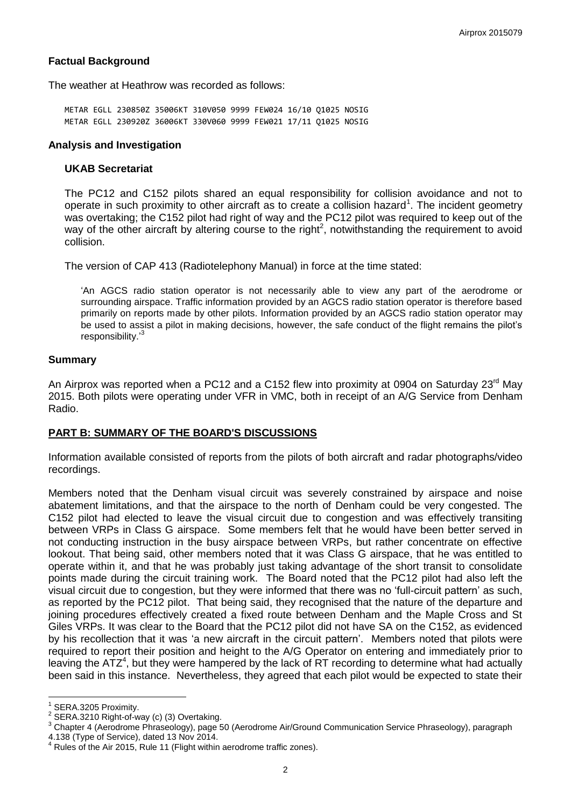## **Factual Background**

The weather at Heathrow was recorded as follows:

METAR EGLL 230850Z 35006KT 310V050 9999 FEW024 16/10 Q1025 NOSIG METAR EGLL 230920Z 36006KT 330V060 9999 FEW021 17/11 Q1025 NOSIG

#### **Analysis and Investigation**

### **UKAB Secretariat**

The PC12 and C152 pilots shared an equal responsibility for collision avoidance and not to operate in such proximity to other aircraft as to create a collision hazard<sup>1</sup>. The incident geometry was overtaking; the C152 pilot had right of way and the PC12 pilot was required to keep out of the way of the other aircraft by altering course to the right<sup>2</sup>, notwithstanding the requirement to avoid collision.

The version of CAP 413 (Radiotelephony Manual) in force at the time stated:

'An AGCS radio station operator is not necessarily able to view any part of the aerodrome or surrounding airspace. Traffic information provided by an AGCS radio station operator is therefore based primarily on reports made by other pilots. Information provided by an AGCS radio station operator may be used to assist a pilot in making decisions, however, the safe conduct of the flight remains the pilot's responsibility.'<sup>3</sup>

### **Summary**

An Airprox was reported when a PC12 and a C152 flew into proximity at 0904 on Saturday 23<sup>rd</sup> May 2015. Both pilots were operating under VFR in VMC, both in receipt of an A/G Service from Denham Radio.

## **PART B: SUMMARY OF THE BOARD'S DISCUSSIONS**

Information available consisted of reports from the pilots of both aircraft and radar photographs/video recordings.

Members noted that the Denham visual circuit was severely constrained by airspace and noise abatement limitations, and that the airspace to the north of Denham could be very congested. The C152 pilot had elected to leave the visual circuit due to congestion and was effectively transiting between VRPs in Class G airspace. Some members felt that he would have been better served in not conducting instruction in the busy airspace between VRPs, but rather concentrate on effective lookout. That being said, other members noted that it was Class G airspace, that he was entitled to operate within it, and that he was probably just taking advantage of the short transit to consolidate points made during the circuit training work. The Board noted that the PC12 pilot had also left the visual circuit due to congestion, but they were informed that there was no 'full-circuit pattern' as such, as reported by the PC12 pilot. That being said, they recognised that the nature of the departure and joining procedures effectively created a fixed route between Denham and the Maple Cross and St Giles VRPs. It was clear to the Board that the PC12 pilot did not have SA on the C152, as evidenced by his recollection that it was 'a new aircraft in the circuit pattern'. Members noted that pilots were required to report their position and height to the A/G Operator on entering and immediately prior to leaving the ATZ<sup>4</sup>, but they were hampered by the lack of RT recording to determine what had actually been said in this instance. Nevertheless, they agreed that each pilot would be expected to state their

 $\overline{\phantom{a}}$ 

<sup>1</sup> SERA.3205 Proximity.

 $2^{2}$  SERA.3210 Right-of-way (c) (3) Overtaking.

<sup>&</sup>lt;sup>3</sup> Chapter 4 (Aerodrome Phraseology), page 50 (Aerodrome Air/Ground Communication Service Phraseology), paragraph

<sup>4.138</sup> (Type of Service), dated 13 Nov 2014.

Rules of the Air 2015, Rule 11 (Flight within aerodrome traffic zones).